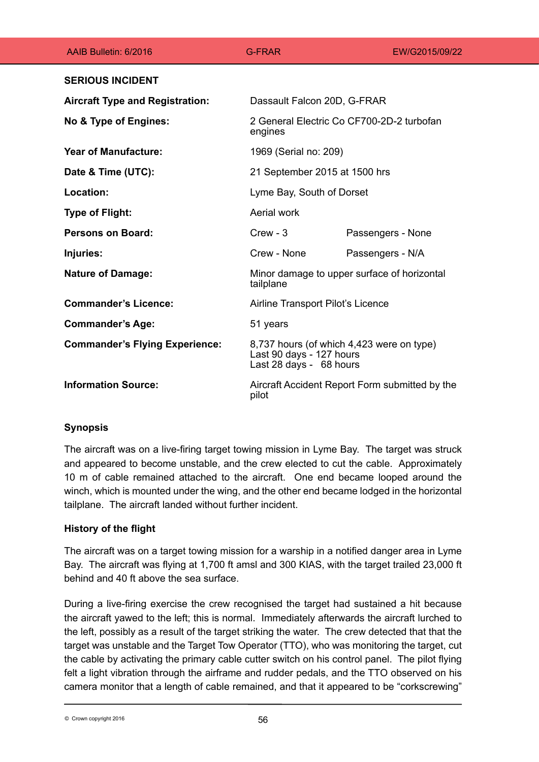| AAIB Bulletin: 6/2016                  | <b>G-FRAR</b>                                                                                    | EW/G2015/09/22    |
|----------------------------------------|--------------------------------------------------------------------------------------------------|-------------------|
| <b>SERIOUS INCIDENT</b>                |                                                                                                  |                   |
| <b>Aircraft Type and Registration:</b> | Dassault Falcon 20D, G-FRAR                                                                      |                   |
| No & Type of Engines:                  | 2 General Electric Co CF700-2D-2 turbofan<br>engines                                             |                   |
| <b>Year of Manufacture:</b>            | 1969 (Serial no: 209)                                                                            |                   |
| Date & Time (UTC):                     | 21 September 2015 at 1500 hrs                                                                    |                   |
| Location:                              | Lyme Bay, South of Dorset                                                                        |                   |
| <b>Type of Flight:</b>                 | Aerial work                                                                                      |                   |
| <b>Persons on Board:</b>               | $C$ rew - 3                                                                                      | Passengers - None |
| Injuries:                              | Crew - None                                                                                      | Passengers - N/A  |
| <b>Nature of Damage:</b>               | Minor damage to upper surface of horizontal<br>tailplane                                         |                   |
| <b>Commander's Licence:</b>            | Airline Transport Pilot's Licence                                                                |                   |
| <b>Commander's Age:</b>                | 51 years                                                                                         |                   |
| <b>Commander's Flying Experience:</b>  | 8,737 hours (of which 4,423 were on type)<br>Last 90 days - 127 hours<br>Last 28 days - 68 hours |                   |
| <b>Information Source:</b>             | Aircraft Accident Report Form submitted by the<br>pilot                                          |                   |

# **Synopsis**

The aircraft was on a live-firing target towing mission in Lyme Bay. The target was struck and appeared to become unstable, and the crew elected to cut the cable. Approximately 10 m of cable remained attached to the aircraft. One end became looped around the winch, which is mounted under the wing, and the other end became lodged in the horizontal tailplane. The aircraft landed without further incident.

# **History of the flight**

The aircraft was on a target towing mission for a warship in a notified danger area in Lyme Bay. The aircraft was flying at 1,700 ft amsl and 300 KIAS, with the target trailed 23,000 ft behind and 40 ft above the sea surface.

During a live-firing exercise the crew recognised the target had sustained a hit because the aircraft yawed to the left; this is normal. Immediately afterwards the aircraft lurched to the left, possibly as a result of the target striking the water. The crew detected that that the target was unstable and the Target Tow Operator (TTO), who was monitoring the target, cut the cable by activating the primary cable cutter switch on his control panel. The pilot flying felt a light vibration through the airframe and rudder pedals, and the TTO observed on his camera monitor that a length of cable remained, and that it appeared to be "corkscrewing"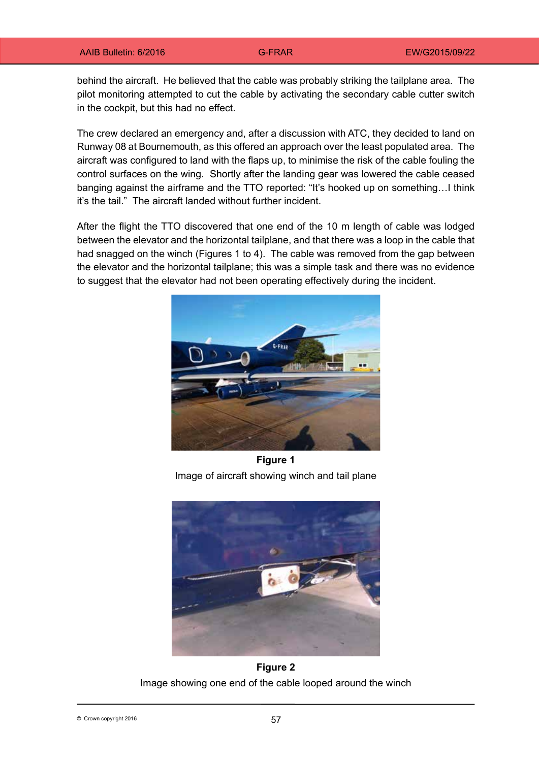behind the aircraft. He believed that the cable was probably striking the tailplane area. The pilot monitoring attempted to cut the cable by activating the secondary cable cutter switch in the cockpit, but this had no effect.

The crew declared an emergency and, after a discussion with ATC, they decided to land on Runway 08 at Bournemouth, as this offered an approach over the least populated area. The aircraft was configured to land with the flaps up, to minimise the risk of the cable fouling the control surfaces on the wing. Shortly after the landing gear was lowered the cable ceased banging against the airframe and the TTO reported: "It's hooked up on something…I think it's the tail." The aircraft landed without further incident.

After the flight the TTO discovered that one end of the 10 m length of cable was lodged between the elevator and the horizontal tailplane, and that there was a loop in the cable that had snagged on the winch (Figures 1 to 4). The cable was removed from the gap between the elevator and the horizontal tailplane; this was a simple task and there was no evidence to suggest that the elevator had not been operating effectively during the incident.



**Figure 1** Image of aircraft showing winch and tail plane



**Figure 2** Image showing one end of the cable looped around the winch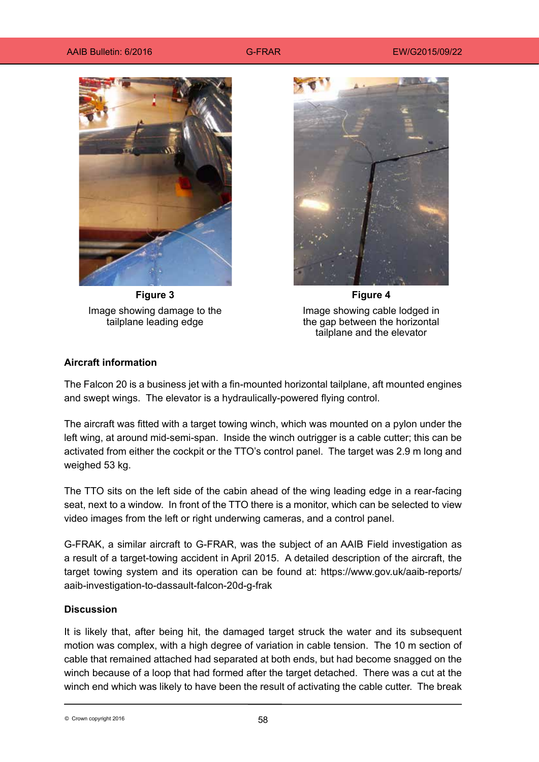#### AAIB Bulletin: 6/2016 **G-FRAR** EW/G2015/09/22



**Figure 3** Image showing damage to the tailplane leading edge



**Figure 4** Image showing cable lodged in the gap between the horizontal tailplane and the elevator

### **Aircraft information**

The Falcon 20 is a business jet with a fin-mounted horizontal tailplane, aft mounted engines and swept wings. The elevator is a hydraulically-powered flying control.

The aircraft was fitted with a target towing winch, which was mounted on a pylon under the left wing, at around mid-semi-span. Inside the winch outrigger is a cable cutter; this can be activated from either the cockpit or the TTO's control panel. The target was 2.9 m long and weighed 53 kg.

The TTO sits on the left side of the cabin ahead of the wing leading edge in a rear-facing seat, next to a window. In front of the TTO there is a monitor, which can be selected to view video images from the left or right underwing cameras, and a control panel.

G-FRAK, a similar aircraft to G-FRAR, was the subject of an AAIB Field investigation as a result of a target-towing accident in April 2015. A detailed description of the aircraft, the target towing system and its operation can be found at: https://www.gov.uk/aaib-reports/ aaib-investigation-to-dassault-falcon-20d-g-frak

### **Discussion**

It is likely that, after being hit, the damaged target struck the water and its subsequent motion was complex, with a high degree of variation in cable tension. The 10 m section of cable that remained attached had separated at both ends, but had become snagged on the winch because of a loop that had formed after the target detached. There was a cut at the winch end which was likely to have been the result of activating the cable cutter. The break

58 © Crown copyright 2016